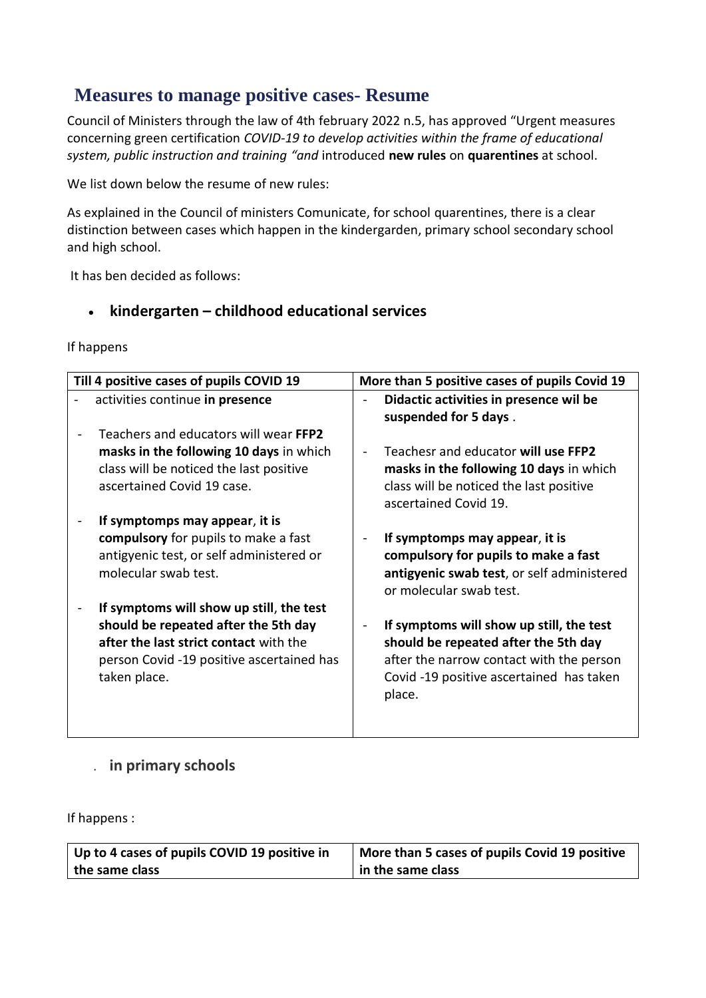# **Measures to manage positive cases- Resume**

Council of Ministers through the law of 4th february 2022 n.5, has approved "Urgent measures concerning green certification *COVID-19 to develop activities within the frame of educational system, public instruction and training "and* introduced **new rules** on **quarentines** at school.

We list down below the resume of new rules:

As explained in the Council of ministers Comunicate, for school quarentines, there is a clear distinction between cases which happen in the kindergarden, primary school secondary school and high school.

It has ben decided as follows:

## **kindergarten – childhood educational services**

If happens

| Till 4 positive cases of pupils COVID 19  | More than 5 positive cases of pupils Covid 19                   |
|-------------------------------------------|-----------------------------------------------------------------|
| activities continue in presence           | Didactic activities in presence wil be<br>suspended for 5 days. |
| Teachers and educators will wear FFP2     | Teachesr and educator will use FFP2                             |
| masks in the following 10 days in which   | masks in the following 10 days in which                         |
| class will be noticed the last positive   | class will be noticed the last positive                         |
| ascertained Covid 19 case.                | ascertained Covid 19.                                           |
| If symptomps may appear, it is            | If symptomps may appear, it is                                  |
| compulsory for pupils to make a fast      | compulsory for pupils to make a fast                            |
| antigyenic test, or self administered or  | antigyenic swab test, or self administered                      |
| molecular swab test.                      | or molecular swab test.                                         |
| If symptoms will show up still, the test  | If symptoms will show up still, the test                        |
| should be repeated after the 5th day      | should be repeated after the 5th day                            |
| after the last strict contact with the    | after the narrow contact with the person                        |
| person Covid -19 positive ascertained has | Covid -19 positive ascertained has taken                        |
| taken place.                              | place.                                                          |

## . **in primary schools**

If happens :

| Up to 4 cases of pupils COVID 19 positive in | More than 5 cases of pupils Covid 19 positive |
|----------------------------------------------|-----------------------------------------------|
| the same class                               | in the same class                             |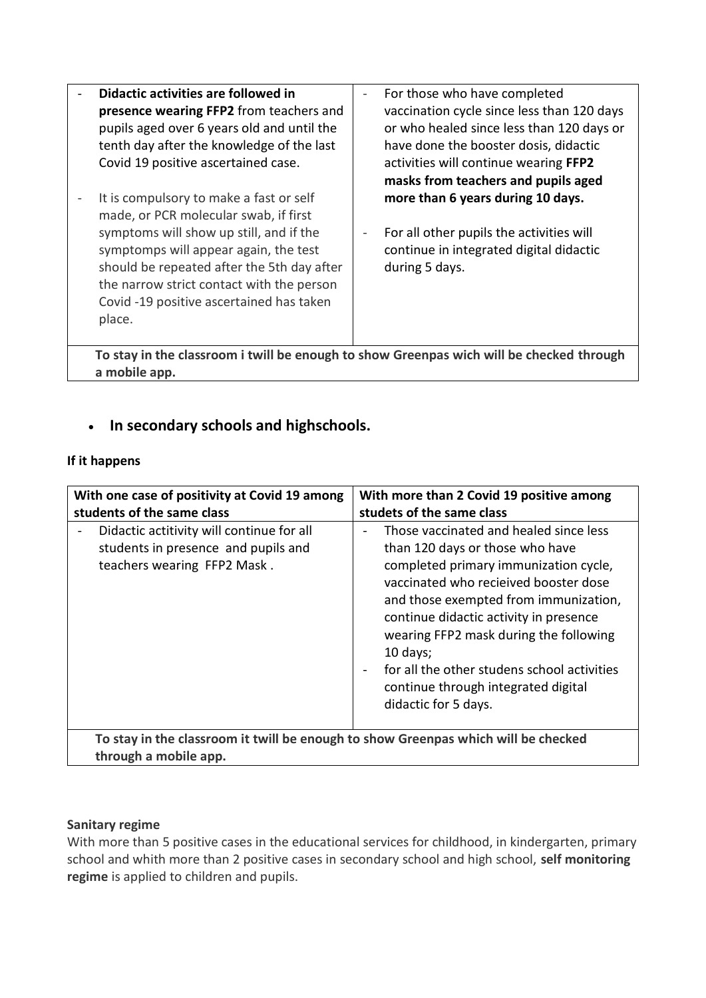| Didactic activities are followed in                                                                                                                                                                                               | For those who have completed                                                                          |  |
|-----------------------------------------------------------------------------------------------------------------------------------------------------------------------------------------------------------------------------------|-------------------------------------------------------------------------------------------------------|--|
| presence wearing FFP2 from teachers and                                                                                                                                                                                           | vaccination cycle since less than 120 days                                                            |  |
| pupils aged over 6 years old and until the                                                                                                                                                                                        | or who healed since less than 120 days or                                                             |  |
| tenth day after the knowledge of the last                                                                                                                                                                                         | have done the booster dosis, didactic                                                                 |  |
| Covid 19 positive ascertained case.                                                                                                                                                                                               | activities will continue wearing FFP2                                                                 |  |
|                                                                                                                                                                                                                                   | masks from teachers and pupils aged                                                                   |  |
| It is compulsory to make a fast or self<br>made, or PCR molecular swab, if first                                                                                                                                                  | more than 6 years during 10 days.                                                                     |  |
| symptoms will show up still, and if the<br>symptomps will appear again, the test<br>should be repeated after the 5th day after<br>the narrow strict contact with the person<br>Covid -19 positive ascertained has taken<br>place. | For all other pupils the activities will<br>continue in integrated digital didactic<br>during 5 days. |  |
| To stay in the classroom i twill be enough to show Greenpas wich will be checked through                                                                                                                                          |                                                                                                       |  |

**In secondary schools and highschools.**

#### **If it happens**

**a mobile app.**

| With one case of positivity at Covid 19 among<br>students of the same class                                     | With more than 2 Covid 19 positive among<br>studets of the same class                                                                                                                                                                                                                                                                                                                                              |
|-----------------------------------------------------------------------------------------------------------------|--------------------------------------------------------------------------------------------------------------------------------------------------------------------------------------------------------------------------------------------------------------------------------------------------------------------------------------------------------------------------------------------------------------------|
| Didactic actitivity will continue for all<br>students in presence and pupils and<br>teachers wearing FFP2 Mask. | Those vaccinated and healed since less<br>than 120 days or those who have<br>completed primary immunization cycle,<br>vaccinated who recieived booster dose<br>and those exempted from immunization,<br>continue didactic activity in presence<br>wearing FFP2 mask during the following<br>10 days;<br>for all the other studens school activities<br>continue through integrated digital<br>didactic for 5 days. |
| To stay in the classroom it twill be enough to show Greenpas which will be checked<br>through a mobile app.     |                                                                                                                                                                                                                                                                                                                                                                                                                    |

### **Sanitary regime**

With more than 5 positive cases in the educational services for childhood, in kindergarten, primary school and whith more than 2 positive cases in secondary school and high school, **self monitoring regime** is applied to children and pupils.